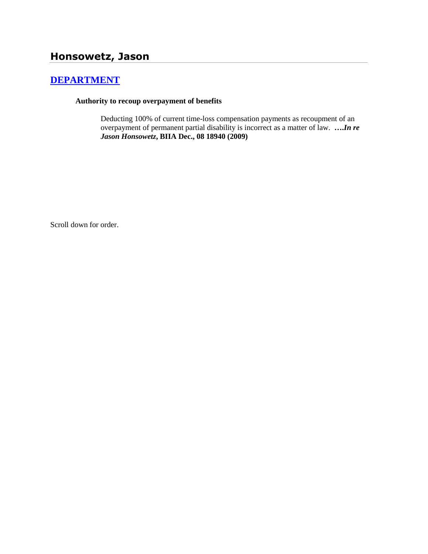# **Honsowetz, Jason**

## **[DEPARTMENT](http://www.biia.wa.gov/SDSubjectIndex.html#DEPARTMENT)**

### **Authority to recoup overpayment of benefits**

Deducting 100% of current time-loss compensation payments as recoupment of an overpayment of permanent partial disability is incorrect as a matter of law. **….***In re Jason Honsowetz***, BIIA Dec., 08 18940 (2009)**

Scroll down for order.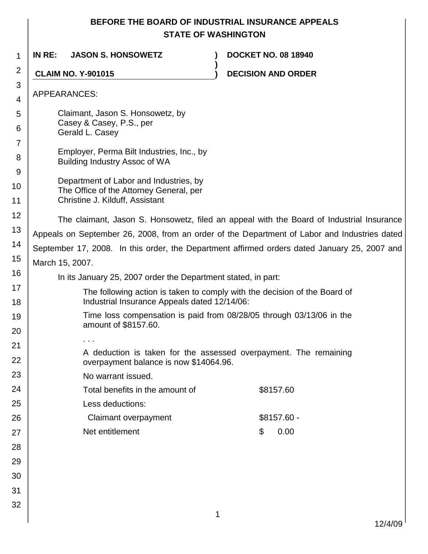## **BEFORE THE BOARD OF INDUSTRIAL INSURANCE APPEALS STATE OF WASHINGTON**

| 1              | IN RE:                                                                                                                    | <b>JASON S. HONSOWETZ</b>               |  | <b>DOCKET NO. 08 18940</b> |  |  |  |  |
|----------------|---------------------------------------------------------------------------------------------------------------------------|-----------------------------------------|--|----------------------------|--|--|--|--|
| 2              | <b>CLAIM NO. Y-901015</b>                                                                                                 |                                         |  | <b>DECISION AND ORDER</b>  |  |  |  |  |
| 3<br>4         | APPEARANCES:                                                                                                              |                                         |  |                            |  |  |  |  |
| 5              | Claimant, Jason S. Honsowetz, by                                                                                          |                                         |  |                            |  |  |  |  |
| 6              | Casey & Casey, P.S., per                                                                                                  |                                         |  |                            |  |  |  |  |
| $\overline{7}$ |                                                                                                                           | Gerald L. Casey                         |  |                            |  |  |  |  |
| 8              | Employer, Perma Bilt Industries, Inc., by<br>Building Industry Assoc of WA                                                |                                         |  |                            |  |  |  |  |
| 9              |                                                                                                                           | Department of Labor and Industries, by  |  |                            |  |  |  |  |
| 10             |                                                                                                                           | The Office of the Attorney General, per |  |                            |  |  |  |  |
| 11             |                                                                                                                           | Christine J. Kilduff, Assistant         |  |                            |  |  |  |  |
| 12             | The claimant, Jason S. Honsowetz, filed an appeal with the Board of Industrial Insurance                                  |                                         |  |                            |  |  |  |  |
| 13             | Appeals on September 26, 2008, from an order of the Department of Labor and Industries dated                              |                                         |  |                            |  |  |  |  |
| 14             | September 17, 2008. In this order, the Department affirmed orders dated January 25, 2007 and                              |                                         |  |                            |  |  |  |  |
| 15             | March 15, 2007.                                                                                                           |                                         |  |                            |  |  |  |  |
| 16             | In its January 25, 2007 order the Department stated, in part:                                                             |                                         |  |                            |  |  |  |  |
| 17<br>18       | The following action is taken to comply with the decision of the Board of<br>Industrial Insurance Appeals dated 12/14/06: |                                         |  |                            |  |  |  |  |
| 19<br>20       | Time loss compensation is paid from 08/28/05 through 03/13/06 in the<br>amount of \$8157.60.                              |                                         |  |                            |  |  |  |  |
|                |                                                                                                                           |                                         |  |                            |  |  |  |  |
| 21<br>22       | A deduction is taken for the assessed overpayment. The remaining<br>overpayment balance is now \$14064.96.                |                                         |  |                            |  |  |  |  |
| 23             |                                                                                                                           | No warrant issued.                      |  |                            |  |  |  |  |
| 24             |                                                                                                                           | Total benefits in the amount of         |  | \$8157.60                  |  |  |  |  |
| 25             |                                                                                                                           | Less deductions:                        |  |                            |  |  |  |  |
| 26             |                                                                                                                           | Claimant overpayment                    |  | $$8157.60 -$               |  |  |  |  |
| 27             |                                                                                                                           | Net entitlement                         |  | 0.00<br>\$                 |  |  |  |  |
| 28             |                                                                                                                           |                                         |  |                            |  |  |  |  |
| 29             |                                                                                                                           |                                         |  |                            |  |  |  |  |
| 30             |                                                                                                                           |                                         |  |                            |  |  |  |  |
| 31             |                                                                                                                           |                                         |  |                            |  |  |  |  |
| 32             |                                                                                                                           |                                         |  |                            |  |  |  |  |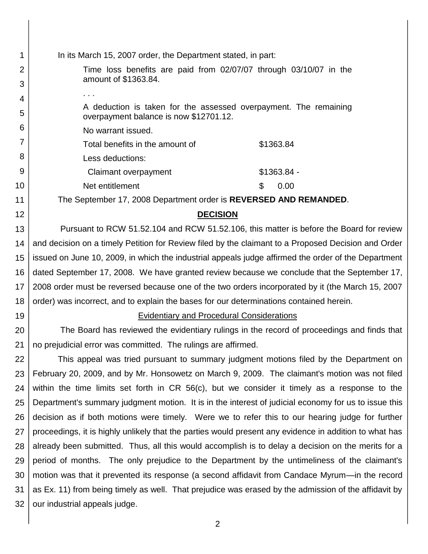| <b>DECISION</b>                                                                                        |  |  |  |  |
|--------------------------------------------------------------------------------------------------------|--|--|--|--|
| Pursuant to RCW 51.52.104 and RCW 51.52.106, this matter is before the Board for review                |  |  |  |  |
| and decision on a timely Petition for Review filed by the claimant to a Proposed Decision and Order    |  |  |  |  |
| issued on June 10, 2009, in which the industrial appeals judge affirmed the order of the Department    |  |  |  |  |
| dated September 17, 2008. We have granted review because we conclude that the September 17,            |  |  |  |  |
| 2008 order must be reversed because one of the two orders incorporated by it (the March 15, 2007       |  |  |  |  |
|                                                                                                        |  |  |  |  |
|                                                                                                        |  |  |  |  |
| The Board has reviewed the evidentiary rulings in the record of proceedings and finds that             |  |  |  |  |
|                                                                                                        |  |  |  |  |
| This appeal was tried pursuant to summary judgment motions filed by the Department on                  |  |  |  |  |
| February 20, 2009, and by Mr. Honsowetz on March 9, 2009. The claimant's motion was not filed          |  |  |  |  |
| within the time limits set forth in CR 56(c), but we consider it timely as a response to the           |  |  |  |  |
| Department's summary judgment motion. It is in the interest of judicial economy for us to issue this   |  |  |  |  |
| decision as if both motions were timely. Were we to refer this to our hearing judge for further        |  |  |  |  |
| proceedings, it is highly unlikely that the parties would present any evidence in addition to what has |  |  |  |  |
| already been submitted. Thus, all this would accomplish is to delay a decision on the merits for a     |  |  |  |  |
| period of months. The only prejudice to the Department by the untimeliness of the claimant's           |  |  |  |  |
| motion was that it prevented its response (a second affidavit from Candace Myrum—in the record         |  |  |  |  |
| as Ex. 11) from being timely as well. That prejudice was erased by the admission of the affidavit by   |  |  |  |  |
| our industrial appeals judge.                                                                          |  |  |  |  |
|                                                                                                        |  |  |  |  |
|                                                                                                        |  |  |  |  |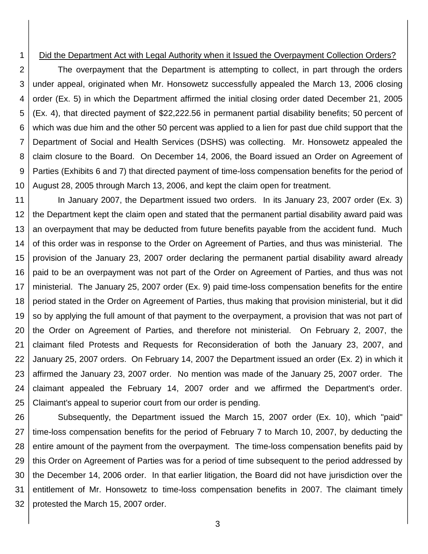#### 1

### Did the Department Act with Legal Authority when it Issued the Overpayment Collection Orders?

2 3 4 5 6 7 8 9 10 The overpayment that the Department is attempting to collect, in part through the orders under appeal, originated when Mr. Honsowetz successfully appealed the March 13, 2006 closing order (Ex. 5) in which the Department affirmed the initial closing order dated December 21, 2005 (Ex. 4), that directed payment of \$22,222.56 in permanent partial disability benefits; 50 percent of which was due him and the other 50 percent was applied to a lien for past due child support that the Department of Social and Health Services (DSHS) was collecting. Mr. Honsowetz appealed the claim closure to the Board. On December 14, 2006, the Board issued an Order on Agreement of Parties (Exhibits 6 and 7) that directed payment of time-loss compensation benefits for the period of August 28, 2005 through March 13, 2006, and kept the claim open for treatment.

11 12 13 14 15 16 17 18 19 20 21 22 23 24 25 In January 2007, the Department issued two orders. In its January 23, 2007 order (Ex. 3) the Department kept the claim open and stated that the permanent partial disability award paid was an overpayment that may be deducted from future benefits payable from the accident fund. Much of this order was in response to the Order on Agreement of Parties, and thus was ministerial. The provision of the January 23, 2007 order declaring the permanent partial disability award already paid to be an overpayment was not part of the Order on Agreement of Parties, and thus was not ministerial. The January 25, 2007 order (Ex. 9) paid time-loss compensation benefits for the entire period stated in the Order on Agreement of Parties, thus making that provision ministerial, but it did so by applying the full amount of that payment to the overpayment, a provision that was not part of the Order on Agreement of Parties, and therefore not ministerial. On February 2, 2007, the claimant filed Protests and Requests for Reconsideration of both the January 23, 2007, and January 25, 2007 orders. On February 14, 2007 the Department issued an order (Ex. 2) in which it affirmed the January 23, 2007 order. No mention was made of the January 25, 2007 order. The claimant appealed the February 14, 2007 order and we affirmed the Department's order. Claimant's appeal to superior court from our order is pending.

26 27 28 29 30 31 32 Subsequently, the Department issued the March 15, 2007 order (Ex. 10), which "paid" time-loss compensation benefits for the period of February 7 to March 10, 2007, by deducting the entire amount of the payment from the overpayment. The time-loss compensation benefits paid by this Order on Agreement of Parties was for a period of time subsequent to the period addressed by the December 14, 2006 order. In that earlier litigation, the Board did not have jurisdiction over the entitlement of Mr. Honsowetz to time-loss compensation benefits in 2007. The claimant timely protested the March 15, 2007 order.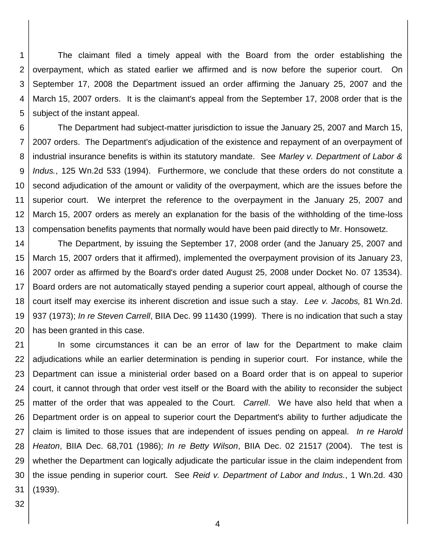1 2 3 4 5 The claimant filed a timely appeal with the Board from the order establishing the overpayment, which as stated earlier we affirmed and is now before the superior court. On September 17, 2008 the Department issued an order affirming the January 25, 2007 and the March 15, 2007 orders. It is the claimant's appeal from the September 17, 2008 order that is the subject of the instant appeal.

6 7 8 9 10 11 12 13 The Department had subject-matter jurisdiction to issue the January 25, 2007 and March 15, 2007 orders. The Department's adjudication of the existence and repayment of an overpayment of industrial insurance benefits is within its statutory mandate. See *Marley v. Department of Labor & Indus.*, 125 Wn.2d 533 (1994). Furthermore, we conclude that these orders do not constitute a second adjudication of the amount or validity of the overpayment, which are the issues before the superior court. We interpret the reference to the overpayment in the January 25, 2007 and March 15, 2007 orders as merely an explanation for the basis of the withholding of the time-loss compensation benefits payments that normally would have been paid directly to Mr. Honsowetz.

14 15 16 17 18 19 20 The Department, by issuing the September 17, 2008 order (and the January 25, 2007 and March 15, 2007 orders that it affirmed), implemented the overpayment provision of its January 23, 2007 order as affirmed by the Board's order dated August 25, 2008 under Docket No. 07 13534). Board orders are not automatically stayed pending a superior court appeal, although of course the court itself may exercise its inherent discretion and issue such a stay. *Lee v. Jacobs,* 81 Wn.2d. 937 (1973); *In re Steven Carrell*, BIIA Dec. 99 11430 (1999). There is no indication that such a stay has been granted in this case.

21 22 23 24 25 26 27 28 29 30 31 In some circumstances it can be an error of law for the Department to make claim adjudications while an earlier determination is pending in superior court. For instance, while the Department can issue a ministerial order based on a Board order that is on appeal to superior court, it cannot through that order vest itself or the Board with the ability to reconsider the subject matter of the order that was appealed to the Court. *Carrell*. We have also held that when a Department order is on appeal to superior court the Department's ability to further adjudicate the claim is limited to those issues that are independent of issues pending on appeal. *In re Harold Heaton*, BIIA Dec. 68,701 (1986); *In re Betty Wilson*, BIIA Dec. 02 21517 (2004). The test is whether the Department can logically adjudicate the particular issue in the claim independent from the issue pending in superior court. See *Reid v. Department of Labor and Indus.*, 1 Wn.2d. 430 (1939).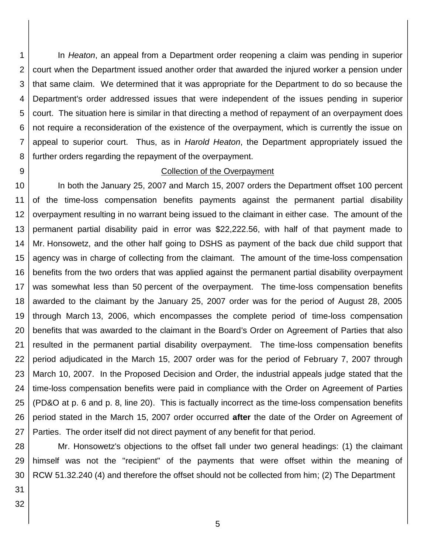1 2 3 4 5 6 7 8 In *Heaton*, an appeal from a Department order reopening a claim was pending in superior court when the Department issued another order that awarded the injured worker a pension under that same claim. We determined that it was appropriate for the Department to do so because the Department's order addressed issues that were independent of the issues pending in superior court. The situation here is similar in that directing a method of repayment of an overpayment does not require a reconsideration of the existence of the overpayment, which is currently the issue on appeal to superior court. Thus, as in *Harold Heaton*, the Department appropriately issued the further orders regarding the repayment of the overpayment.

9

#### Collection of the Overpayment

10 11 12 13 14 15 16 17 18 19 20 21 22 23 24 25 26 27 In both the January 25, 2007 and March 15, 2007 orders the Department offset 100 percent of the time-loss compensation benefits payments against the permanent partial disability overpayment resulting in no warrant being issued to the claimant in either case. The amount of the permanent partial disability paid in error was \$22,222.56, with half of that payment made to Mr. Honsowetz, and the other half going to DSHS as payment of the back due child support that agency was in charge of collecting from the claimant. The amount of the time-loss compensation benefits from the two orders that was applied against the permanent partial disability overpayment was somewhat less than 50 percent of the overpayment. The time-loss compensation benefits awarded to the claimant by the January 25, 2007 order was for the period of August 28, 2005 through March 13, 2006, which encompasses the complete period of time-loss compensation benefits that was awarded to the claimant in the Board's Order on Agreement of Parties that also resulted in the permanent partial disability overpayment. The time-loss compensation benefits period adjudicated in the March 15, 2007 order was for the period of February 7, 2007 through March 10, 2007. In the Proposed Decision and Order, the industrial appeals judge stated that the time-loss compensation benefits were paid in compliance with the Order on Agreement of Parties (PD&O at p. 6 and p. 8, line 20). This is factually incorrect as the time-loss compensation benefits period stated in the March 15, 2007 order occurred **after** the date of the Order on Agreement of Parties. The order itself did not direct payment of any benefit for that period.

28 29 30 Mr. Honsowetz's objections to the offset fall under two general headings: (1) the claimant himself was not the "recipient" of the payments that were offset within the meaning of RCW 51.32.240 (4) and therefore the offset should not be collected from him; (2) The Department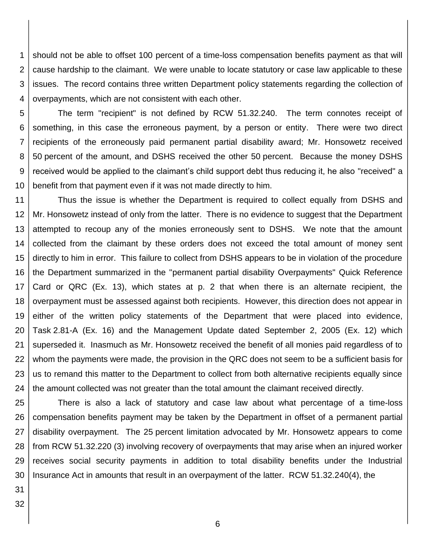1 2 3 4 should not be able to offset 100 percent of a time-loss compensation benefits payment as that will cause hardship to the claimant. We were unable to locate statutory or case law applicable to these issues. The record contains three written Department policy statements regarding the collection of overpayments, which are not consistent with each other.

5 6 7 8 9 10 The term "recipient" is not defined by RCW 51.32.240. The term connotes receipt of something, in this case the erroneous payment, by a person or entity. There were two direct recipients of the erroneously paid permanent partial disability award; Mr. Honsowetz received 50 percent of the amount, and DSHS received the other 50 percent. Because the money DSHS received would be applied to the claimant's child support debt thus reducing it, he also "received" a benefit from that payment even if it was not made directly to him.

11 12 13 14 15 16 17 18 19 20 21 22 23 24 Thus the issue is whether the Department is required to collect equally from DSHS and Mr. Honsowetz instead of only from the latter. There is no evidence to suggest that the Department attempted to recoup any of the monies erroneously sent to DSHS. We note that the amount collected from the claimant by these orders does not exceed the total amount of money sent directly to him in error. This failure to collect from DSHS appears to be in violation of the procedure the Department summarized in the "permanent partial disability Overpayments" Quick Reference Card or QRC (Ex. 13), which states at p. 2 that when there is an alternate recipient, the overpayment must be assessed against both recipients. However, this direction does not appear in either of the written policy statements of the Department that were placed into evidence, Task 2.81-A (Ex. 16) and the Management Update dated September 2, 2005 (Ex. 12) which superseded it. Inasmuch as Mr. Honsowetz received the benefit of all monies paid regardless of to whom the payments were made, the provision in the QRC does not seem to be a sufficient basis for us to remand this matter to the Department to collect from both alternative recipients equally since the amount collected was not greater than the total amount the claimant received directly.

25 26 27 28 29 30 There is also a lack of statutory and case law about what percentage of a time-loss compensation benefits payment may be taken by the Department in offset of a permanent partial disability overpayment. The 25 percent limitation advocated by Mr. Honsowetz appears to come from RCW 51.32.220 (3) involving recovery of overpayments that may arise when an injured worker receives social security payments in addition to total disability benefits under the Industrial Insurance Act in amounts that result in an overpayment of the latter. RCW 51.32.240(4), the

31 32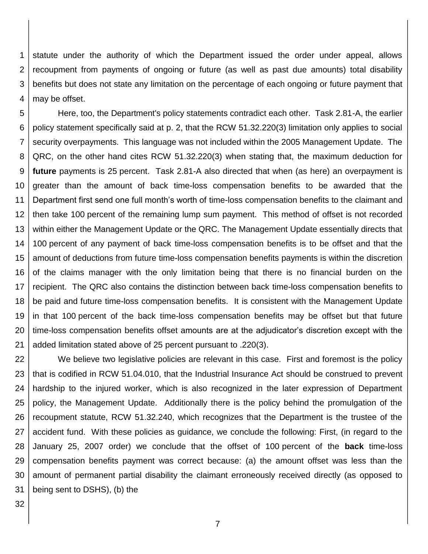1 2 3 4 statute under the authority of which the Department issued the order under appeal, allows recoupment from payments of ongoing or future (as well as past due amounts) total disability benefits but does not state any limitation on the percentage of each ongoing or future payment that may be offset.

5 6 7 8 9 10 11 12 13 14 15 16 17 18 19 20 21 Here, too, the Department's policy statements contradict each other. Task 2.81-A, the earlier policy statement specifically said at p. 2, that the RCW 51.32.220(3) limitation only applies to social security overpayments. This language was not included within the 2005 Management Update. The QRC, on the other hand cites RCW 51.32.220(3) when stating that, the maximum deduction for **future** payments is 25 percent. Task 2.81-A also directed that when (as here) an overpayment is greater than the amount of back time-loss compensation benefits to be awarded that the Department first send one full month's worth of time-loss compensation benefits to the claimant and then take 100 percent of the remaining lump sum payment. This method of offset is not recorded within either the Management Update or the QRC. The Management Update essentially directs that 100 percent of any payment of back time-loss compensation benefits is to be offset and that the amount of deductions from future time-loss compensation benefits payments is within the discretion of the claims manager with the only limitation being that there is no financial burden on the recipient. The QRC also contains the distinction between back time-loss compensation benefits to be paid and future time-loss compensation benefits. It is consistent with the Management Update in that 100 percent of the back time-loss compensation benefits may be offset but that future time-loss compensation benefits offset amounts are at the adjudicator's discretion except with the added limitation stated above of 25 percent pursuant to .220(3).

22 23 24 25 26 27 28 29 30 31 We believe two legislative policies are relevant in this case. First and foremost is the policy that is codified in RCW 51.04.010, that the Industrial Insurance Act should be construed to prevent hardship to the injured worker, which is also recognized in the later expression of Department policy, the Management Update. Additionally there is the policy behind the promulgation of the recoupment statute, RCW 51.32.240, which recognizes that the Department is the trustee of the accident fund. With these policies as guidance, we conclude the following: First, (in regard to the January 25, 2007 order) we conclude that the offset of 100 percent of the **back** time-loss compensation benefits payment was correct because: (a) the amount offset was less than the amount of permanent partial disability the claimant erroneously received directly (as opposed to being sent to DSHS), (b) the

32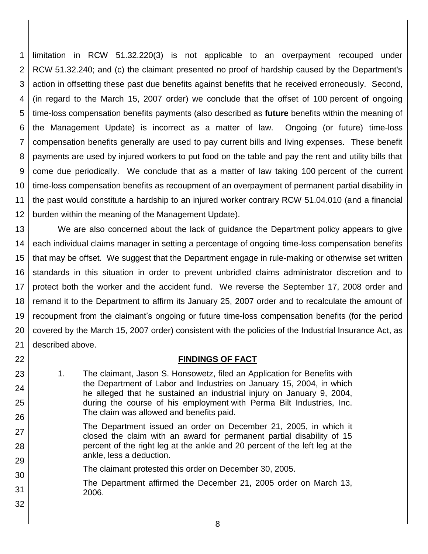1 2 3 4 5 6 7 8 9 10 11 12 limitation in RCW 51.32.220(3) is not applicable to an overpayment recouped under RCW 51.32.240; and (c) the claimant presented no proof of hardship caused by the Department's action in offsetting these past due benefits against benefits that he received erroneously. Second, (in regard to the March 15, 2007 order) we conclude that the offset of 100 percent of ongoing time-loss compensation benefits payments (also described as **future** benefits within the meaning of the Management Update) is incorrect as a matter of law. Ongoing (or future) time-loss compensation benefits generally are used to pay current bills and living expenses. These benefit payments are used by injured workers to put food on the table and pay the rent and utility bills that come due periodically. We conclude that as a matter of law taking 100 percent of the current time-loss compensation benefits as recoupment of an overpayment of permanent partial disability in the past would constitute a hardship to an injured worker contrary RCW 51.04.010 (and a financial burden within the meaning of the Management Update).

13 14 15 16 17 18 19 20 21 We are also concerned about the lack of guidance the Department policy appears to give each individual claims manager in setting a percentage of ongoing time-loss compensation benefits that may be offset. We suggest that the Department engage in rule-making or otherwise set written standards in this situation in order to prevent unbridled claims administrator discretion and to protect both the worker and the accident fund. We reverse the September 17, 2008 order and remand it to the Department to affirm its January 25, 2007 order and to recalculate the amount of recoupment from the claimant's ongoing or future time-loss compensation benefits (for the period covered by the March 15, 2007 order) consistent with the policies of the Industrial Insurance Act, as described above.

### **FINDINGS OF FACT**

- 1. The claimant, Jason S. Honsowetz, filed an Application for Benefits with the Department of Labor and Industries on January 15, 2004, in which he alleged that he sustained an industrial injury on January 9, 2004, during the course of his employment with Perma Bilt Industries, Inc. The claim was allowed and benefits paid.
- The Department issued an order on December 21, 2005, in which it closed the claim with an award for permanent partial disability of 15 percent of the right leg at the ankle and 20 percent of the left leg at the ankle, less a deduction.
- The claimant protested this order on December 30, 2005.

22

23

24

25

26

27

28

29

30

31

32

The Department affirmed the December 21, 2005 order on March 13, 2006.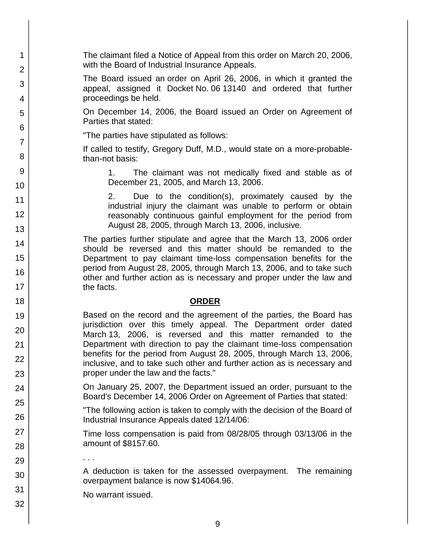The claimant filed a Notice of Appeal from this order on March 20, 2006, with the Board of Industrial Insurance Appeals.

The Board issued an order on April 26, 2006, in which it granted the appeal, assigned it Docket No. 06 13140 and ordered that further proceedings be held.

On December 14, 2006, the Board issued an Order on Agreement of Parties that stated:

"The parties have stipulated as follows:

1

2

3

4

5

6

7

8

9

10

11

12

13

14

15

16

17 18

19

20

21 22

23

24

25

26

27

28

29

30

31

32

If called to testify, Gregory Duff, M.D., would state on a more-probablethan-not basis:

> 1. The claimant was not medically fixed and stable as of December 21, 2005, and March 13, 2006.

> 2. Due to the condition(s), proximately caused by the industrial injury the claimant was unable to perform or obtain reasonably continuous gainful employment for the period from August 28, 2005, through March 13, 2006, inclusive.

The parties further stipulate and agree that the March 13, 2006 order should be reversed and this matter should be remanded to the Department to pay claimant time-loss compensation benefits for the period from August 28, 2005, through March 13, 2006, and to take such other and further action as is necessary and proper under the law and the facts.

### **ORDER**

Based on the record and the agreement of the parties, the Board has jurisdiction over this timely appeal. The Department order dated March 13, 2006, is reversed and this matter remanded to the Department with direction to pay the claimant time-loss compensation benefits for the period from August 28, 2005, through March 13, 2006, inclusive, and to take such other and further action as is necessary and proper under the law and the facts."

On January 25, 2007, the Department issued an order, pursuant to the Board's December 14, 2006 Order on Agreement of Parties that stated:

"The following action is taken to comply with the decision of the Board of Industrial Insurance Appeals dated 12/14/06:

Time loss compensation is paid from 08/28/05 through 03/13/06 in the amount of \$8157.60.

. . .

A deduction is taken for the assessed overpayment. The remaining overpayment balance is now \$14064.96.

No warrant issued.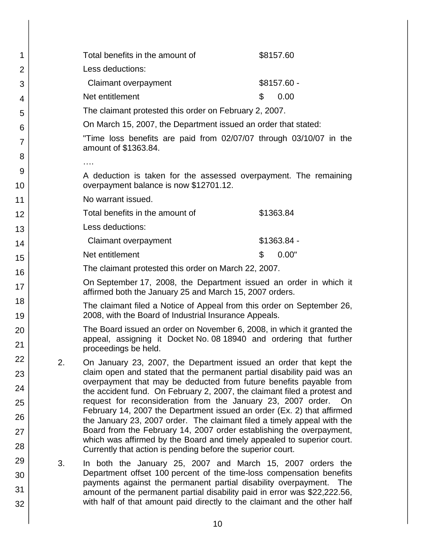| 1              |                                                                                                                              | Total benefits in the amount of                                                                                                                                                                                            | \$8157.60    |  |  |  |  |
|----------------|------------------------------------------------------------------------------------------------------------------------------|----------------------------------------------------------------------------------------------------------------------------------------------------------------------------------------------------------------------------|--------------|--|--|--|--|
| $\overline{2}$ |                                                                                                                              | Less deductions:                                                                                                                                                                                                           |              |  |  |  |  |
| 3              |                                                                                                                              | Claimant overpayment                                                                                                                                                                                                       | $$8157.60 -$ |  |  |  |  |
| 4              |                                                                                                                              | Net entitlement                                                                                                                                                                                                            | \$<br>0.00   |  |  |  |  |
| 5              |                                                                                                                              | The claimant protested this order on February 2, 2007.                                                                                                                                                                     |              |  |  |  |  |
| 6              | On March 15, 2007, the Department issued an order that stated:                                                               |                                                                                                                                                                                                                            |              |  |  |  |  |
| 7              |                                                                                                                              | "Time loss benefits are paid from 02/07/07 through 03/10/07 in the<br>amount of \$1363.84.                                                                                                                                 |              |  |  |  |  |
| 8              |                                                                                                                              | .                                                                                                                                                                                                                          |              |  |  |  |  |
| 9<br>10        | A deduction is taken for the assessed overpayment. The remaining<br>overpayment balance is now \$12701.12.                   |                                                                                                                                                                                                                            |              |  |  |  |  |
| 11             |                                                                                                                              | No warrant issued.                                                                                                                                                                                                         |              |  |  |  |  |
| 12             |                                                                                                                              | Total benefits in the amount of                                                                                                                                                                                            | \$1363.84    |  |  |  |  |
| 13             |                                                                                                                              | Less deductions:                                                                                                                                                                                                           |              |  |  |  |  |
| 14             |                                                                                                                              | Claimant overpayment                                                                                                                                                                                                       | $$1363.84 -$ |  |  |  |  |
| 15             |                                                                                                                              | Net entitlement                                                                                                                                                                                                            | 0.00"<br>\$  |  |  |  |  |
| 16             |                                                                                                                              | The claimant protested this order on March 22, 2007.                                                                                                                                                                       |              |  |  |  |  |
| 17             | On September 17, 2008, the Department issued an order in which it<br>affirmed both the January 25 and March 15, 2007 orders. |                                                                                                                                                                                                                            |              |  |  |  |  |
| 18<br>19       |                                                                                                                              | The claimant filed a Notice of Appeal from this order on September 26,<br>2008, with the Board of Industrial Insurance Appeals.                                                                                            |              |  |  |  |  |
| 20             | The Board issued an order on November 6, 2008, in which it granted the                                                       |                                                                                                                                                                                                                            |              |  |  |  |  |
| 21             |                                                                                                                              | appeal, assigning it Docket No. 08 18940 and ordering that further<br>proceedings be held.                                                                                                                                 |              |  |  |  |  |
| 22             | 2.                                                                                                                           | On January 23, 2007, the Department issued an order that kept the                                                                                                                                                          |              |  |  |  |  |
| 23             |                                                                                                                              | claim open and stated that the permanent partial disability paid was an<br>overpayment that may be deducted from future benefits payable from<br>the accident fund. On February 2, 2007, the claimant filed a protest and  |              |  |  |  |  |
| 24             |                                                                                                                              |                                                                                                                                                                                                                            |              |  |  |  |  |
| 25             |                                                                                                                              | request for reconsideration from the January 23, 2007 order.<br>February 14, 2007 the Department issued an order (Ex. 2) that affirmed                                                                                     | On           |  |  |  |  |
| 26             |                                                                                                                              | the January 23, 2007 order. The claimant filed a timely appeal with the                                                                                                                                                    |              |  |  |  |  |
| 27             |                                                                                                                              | Board from the February 14, 2007 order establishing the overpayment,<br>which was affirmed by the Board and timely appealed to superior court.                                                                             |              |  |  |  |  |
| 28             |                                                                                                                              | Currently that action is pending before the superior court.                                                                                                                                                                |              |  |  |  |  |
| 29             | 3.                                                                                                                           | In both the January 25, 2007 and March 15, 2007 orders the                                                                                                                                                                 |              |  |  |  |  |
| 30             |                                                                                                                              | Department offset 100 percent of the time-loss compensation benefits<br>payments against the permanent partial disability overpayment.<br>The<br>amount of the permanent partial disability paid in error was \$22,222.56, |              |  |  |  |  |
| 31             |                                                                                                                              |                                                                                                                                                                                                                            |              |  |  |  |  |
| 32             |                                                                                                                              | with half of that amount paid directly to the claimant and the other half                                                                                                                                                  |              |  |  |  |  |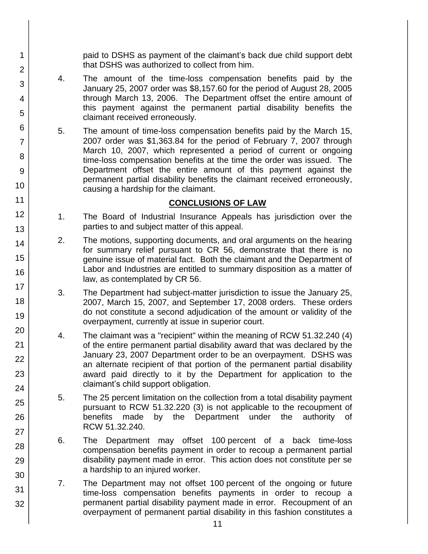paid to DSHS as payment of the claimant's back due child support debt that DSHS was authorized to collect from him.

4. The amount of the time-loss compensation benefits paid by the January 25, 2007 order was \$8,157.60 for the period of August 28, 2005 through March 13, 2006. The Department offset the entire amount of this payment against the permanent partial disability benefits the claimant received erroneously.

1 2

3

4

5

6

7

8

9

10

11 12

13

14

15

16

17

18

19

20

21 22

23

24

25

26

27

28

29

30

31

32

5. The amount of time-loss compensation benefits paid by the March 15, 2007 order was \$1,363.84 for the period of February 7, 2007 through March 10, 2007, which represented a period of current or ongoing time-loss compensation benefits at the time the order was issued. The Department offset the entire amount of this payment against the permanent partial disability benefits the claimant received erroneously, causing a hardship for the claimant.

### **CONCLUSIONS OF LAW**

- 1. The Board of Industrial Insurance Appeals has jurisdiction over the parties to and subject matter of this appeal.
- 2. The motions, supporting documents, and oral arguments on the hearing for summary relief pursuant to CR 56, demonstrate that there is no genuine issue of material fact. Both the claimant and the Department of Labor and Industries are entitled to summary disposition as a matter of law, as contemplated by CR 56.
- 3. The Department had subject-matter jurisdiction to issue the January 25, 2007, March 15, 2007, and September 17, 2008 orders. These orders do not constitute a second adjudication of the amount or validity of the overpayment, currently at issue in superior court.
- 4. The claimant was a "recipient" within the meaning of RCW 51.32.240 (4) of the entire permanent partial disability award that was declared by the January 23, 2007 Department order to be an overpayment. DSHS was an alternate recipient of that portion of the permanent partial disability award paid directly to it by the Department for application to the claimant's child support obligation.
- 5. The 25 percent limitation on the collection from a total disability payment pursuant to RCW 51.32.220 (3) is not applicable to the recoupment of benefits made by the Department under the authority of RCW 51.32.240.
- 6. The Department may offset 100 percent of a back time-loss compensation benefits payment in order to recoup a permanent partial disability payment made in error. This action does not constitute per se a hardship to an injured worker.
- 7. The Department may not offset 100 percent of the ongoing or future time-loss compensation benefits payments in order to recoup a permanent partial disability payment made in error. Recoupment of an overpayment of permanent partial disability in this fashion constitutes a